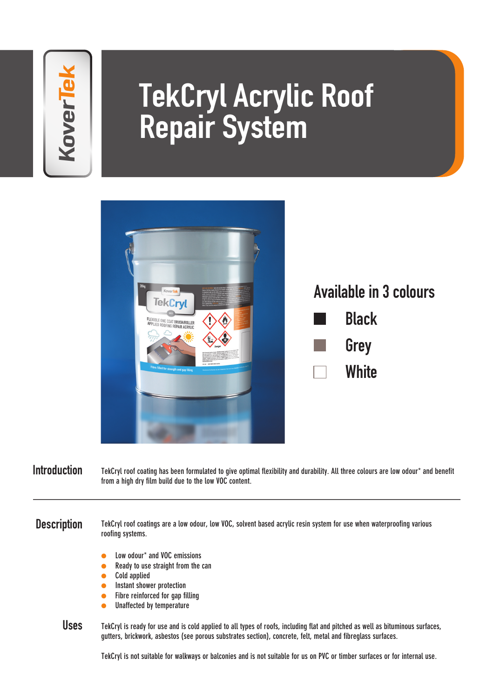

# TekCryl Acrylic Roof Repair System



**TekCryl roof coating has been formulated to give optimal flexibility and durability. All three colours are low odour\* and benefit from a high dry film build due to the low VOC content.** Introduction

**TekCryl roof coatings are a low odour, low VOC, solvent based acrylic resin system for use when waterproofing various roofing systems. Description** 

- **Low odour\* and VOC emissions**
- ● **Ready to use straight from the can**
- ● **Cold applied**
- ● **Instant shower protection**
- ● **Fibre reinforced for gap filling**
- ● **Unaffected by temperature**

**Uses TekCryl is ready for use and is cold applied to all types of roofs, including flat and pitched as well as bituminous surfaces, gutters, brickwork, asbestos (see porous substrates section), concrete, felt, metal and fibreglass surfaces.**

**TekCryl is not suitable for walkways or balconies and is not suitable for us on PVC or timber surfaces or for internal use.**